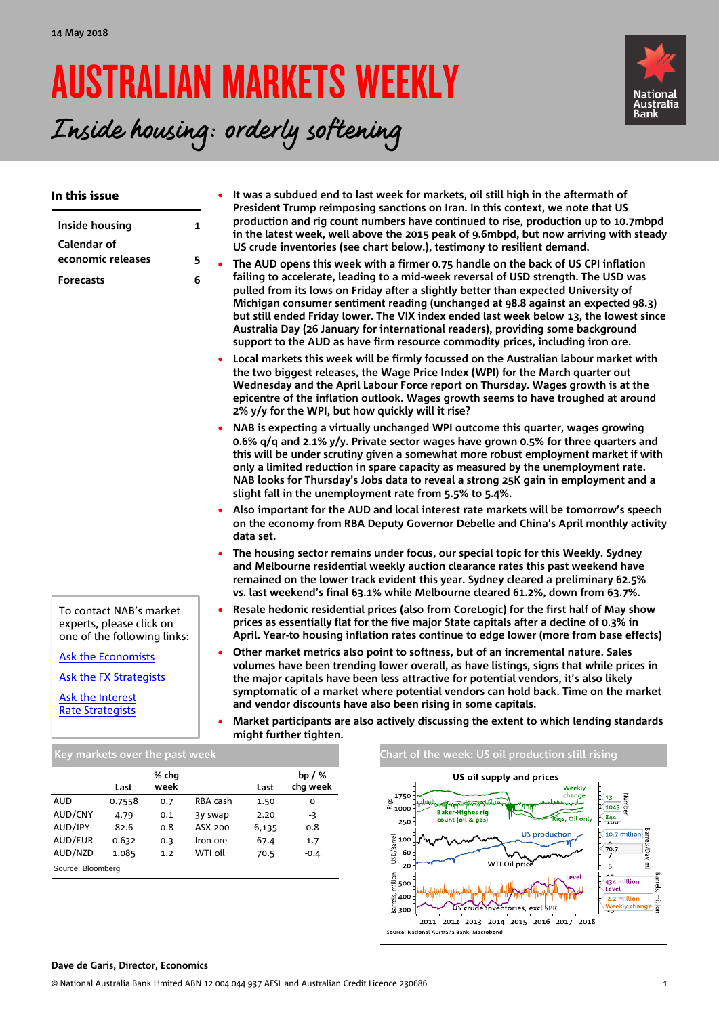# AUSTRALIAN MARKETS WEEKLY



Inside housing: orderly softening

| In this issue                                                                      |                             |                       |              |                        |                                                                         |                                                                    | It was a subdued end to last week for markets, oil still high in the aftermath of                                                                                                                                                                                                                                                                                                                                                                                                                                           |                                                                      |
|------------------------------------------------------------------------------------|-----------------------------|-----------------------|--------------|------------------------|-------------------------------------------------------------------------|--------------------------------------------------------------------|-----------------------------------------------------------------------------------------------------------------------------------------------------------------------------------------------------------------------------------------------------------------------------------------------------------------------------------------------------------------------------------------------------------------------------------------------------------------------------------------------------------------------------|----------------------------------------------------------------------|
| Inside housing<br><b>Calendar of</b>                                               |                             | 1                     |              |                        |                                                                         |                                                                    | President Trump reimposing sanctions on Iran. In this context, we note that US<br>production and rig count numbers have continued to rise, production up to 10.7mbpd<br>in the latest week, well above the 2015 peak of 9.6mbpd, but now arriving with steady<br>US crude inventories (see chart below.), testimony to resilient demand.                                                                                                                                                                                    |                                                                      |
| economic releases                                                                  |                             | 5                     |              |                        |                                                                         |                                                                    | The AUD opens this week with a firmer 0.75 handle on the back of US CPI inflation                                                                                                                                                                                                                                                                                                                                                                                                                                           |                                                                      |
| <b>Forecasts</b>                                                                   |                             | 6                     |              |                        |                                                                         |                                                                    | failing to accelerate, leading to a mid-week reversal of USD strength. The USD was<br>pulled from its lows on Friday after a slightly better than expected University of<br>Michigan consumer sentiment reading (unchanged at 98.8 against an expected 98.3)<br>but still ended Friday lower. The VIX index ended last week below 13, the lowest since<br>Australia Day (26 January for international readers), providing some background<br>support to the AUD as have firm resource commodity prices, including iron ore. |                                                                      |
|                                                                                    |                             |                       |              |                        | 2% y/y for the WPI, but how quickly will it rise?                       |                                                                    | Local markets this week will be firmly focussed on the Australian labour market with<br>the two biggest releases, the Wage Price Index (WPI) for the March quarter out<br>Wednesday and the April Labour Force report on Thursday. Wages growth is at the<br>epicentre of the inflation outlook. Wages growth seems to have troughed at around                                                                                                                                                                              |                                                                      |
|                                                                                    |                             |                       |              |                        |                                                                         | slight fall in the unemployment rate from 5.5% to 5.4%.            | NAB is expecting a virtually unchanged WPI outcome this quarter, wages growing<br>0.6% q/q and 2.1% y/y. Private sector wages have grown 0.5% for three quarters and<br>this will be under scrutiny given a somewhat more robust employment market if with<br>only a limited reduction in spare capacity as measured by the unemployment rate.<br>NAB looks for Thursday's Jobs data to reveal a strong 25K gain in employment and a                                                                                        |                                                                      |
|                                                                                    |                             |                       | data set.    |                        |                                                                         |                                                                    | Also important for the AUD and local interest rate markets will be tomorrow's speech<br>on the economy from RBA Deputy Governor Debelle and China's April monthly activity                                                                                                                                                                                                                                                                                                                                                  |                                                                      |
|                                                                                    |                             |                       |              |                        |                                                                         |                                                                    | The housing sector remains under focus, our special topic for this Weekly. Sydney<br>and Melbourne residential weekly auction clearance rates this past weekend have<br>remained on the lower track evident this year. Sydney cleared a preliminary 62.5%<br>vs. last weekend's final 63.1% while Melbourne cleared 61.2%, down from 63.7%.                                                                                                                                                                                 |                                                                      |
| To contact NAB's market<br>experts, please click on<br>one of the following links: |                             | $\bullet$             |              |                        |                                                                         |                                                                    | Resale hedonic residential prices (also from CoreLogic) for the first half of May show<br>prices as essentially flat for the five major State capitals after a decline of 0.3% in<br>April. Year-to housing inflation rates continue to edge lower (more from base effects)                                                                                                                                                                                                                                                 |                                                                      |
| <b>Ask the Economists</b>                                                          |                             |                       |              |                        |                                                                         |                                                                    | Other market metrics also point to softness, but of an incremental nature. Sales                                                                                                                                                                                                                                                                                                                                                                                                                                            |                                                                      |
| Ask the FX Strategists                                                             |                             |                       |              |                        |                                                                         |                                                                    | volumes have been trending lower overall, as have listings, signs that while prices in<br>the major capitals have been less attractive for potential vendors, it's also likely                                                                                                                                                                                                                                                                                                                                              |                                                                      |
| Ask the Interest                                                                   |                             |                       |              |                        |                                                                         | and vendor discounts have also been rising in some capitals.       | symptomatic of a market where potential vendors can hold back. Time on the market                                                                                                                                                                                                                                                                                                                                                                                                                                           |                                                                      |
| <b>Rate Strategists</b>                                                            |                             |                       |              | might further tighten. |                                                                         |                                                                    | Market participants are also actively discussing the extent to which lending standards                                                                                                                                                                                                                                                                                                                                                                                                                                      |                                                                      |
| Key markets over the past week                                                     |                             |                       |              |                        |                                                                         |                                                                    | Chart of the week: US oil production still rising                                                                                                                                                                                                                                                                                                                                                                                                                                                                           |                                                                      |
|                                                                                    | % chg<br>week<br>Last       |                       | Last         | bp $/$ %<br>chg week   |                                                                         | US oil supply and prices                                           | Weekly                                                                                                                                                                                                                                                                                                                                                                                                                                                                                                                      |                                                                      |
| <b>AUD</b><br>AUD/CNY                                                              | 0.7558<br>0.7<br>170<br>O 1 | RBA cash<br>$3V$ swan | 1.50<br>2.20 | 0<br>-2                | 1750<br>$\mathop{\oplus}\limits^{\omega\ \ \cdots}_{\varnothing\ 1000}$ | والسامان وتتستعده والمستحدثة والمستعددة<br><b>Baker-Highes rig</b> | change<br>مكافحهما                                                                                                                                                                                                                                                                                                                                                                                                                                                                                                          | $\sqrt{13}$<br>$\begin{array}{c}\n13 \\ 1045 \\ \hline\n\end{array}$ |

| <b>AUD</b>        | 0.7558 | 0.7 | RBA cash | 1.50  | o      |  |
|-------------------|--------|-----|----------|-------|--------|--|
| AUD/CNY           | 4.79   | 0.1 | 3y swap  | 2.20  | -3     |  |
| AUD/JPY           | 82.6   | 0.8 | ASX 200  | 6,135 | 0.8    |  |
| AUD/EUR           | 0.632  | 0.3 | Iron ore | 67.4  | 1.7    |  |
| AUD/NZD           | 1.085  | 1.2 | WTI oil  | 70.5  | $-0.4$ |  |
| Source: Bloomberg |        |     |          |       |        |  |



### **Dave de Garis, Director, Economics**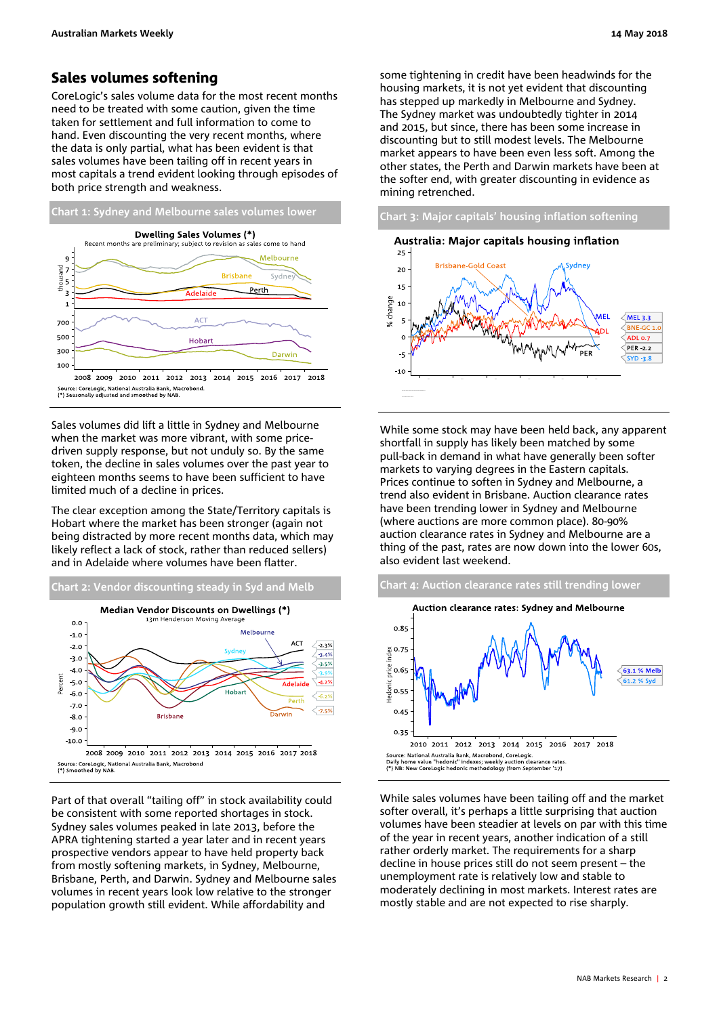### Sales volumes softening

CoreLogic's sales volume data for the most recent months need to be treated with some caution, given the time taken for settlement and full information to come to hand. Even discounting the very recent months, where the data is only partial, what has been evident is that sales volumes have been tailing off in recent years in most capitals a trend evident looking through episodes of both price strength and weakness.



Sales volumes did lift a little in Sydney and Melbourne when the market was more vibrant, with some pricedriven supply response, but not unduly so. By the same token, the decline in sales volumes over the past year to eighteen months seems to have been sufficient to have limited much of a decline in prices.

The clear exception among the State/Territory capitals is Hobart where the market has been stronger (again not being distracted by more recent months data, which may likely reflect a lack of stock, rather than reduced sellers) and in Adelaide where volumes have been flatter.



Part of that overall "tailing off" in stock availability could be consistent with some reported shortages in stock. Sydney sales volumes peaked in late 2013, before the APRA tightening started a year later and in recent years prospective vendors appear to have held property back from mostly softening markets, in Sydney, Melbourne, Brisbane, Perth, and Darwin. Sydney and Melbourne sales volumes in recent years look low relative to the stronger population growth still evident. While affordability and

some tightening in credit have been headwinds for the housing markets, it is not yet evident that discounting has stepped up markedly in Melbourne and Sydney. The Sydney market was undoubtedly tighter in 2014 and 2015, but since, there has been some increase in discounting but to still modest levels. The Melbourne market appears to have been even less soft. Among the other states, the Perth and Darwin markets have been at the softer end, with greater discounting in evidence as mining retrenched.



While some stock may have been held back, any apparent shortfall in supply has likely been matched by some pull-back in demand in what have generally been softer markets to varying degrees in the Eastern capitals. Prices continue to soften in Sydney and Melbourne, a trend also evident in Brisbane. Auction clearance rates have been trending lower in Sydney and Melbourne (where auctions are more common place). 80-90% auction clearance rates in Sydney and Melbourne are a thing of the past, rates are now down into the lower 60s, also evident last weekend.



While sales volumes have been tailing off and the market softer overall, it's perhaps a little surprising that auction volumes have been steadier at levels on par with this time of the year in recent years, another indication of a still rather orderly market. The requirements for a sharp decline in house prices still do not seem present – the unemployment rate is relatively low and stable to moderately declining in most markets. Interest rates are mostly stable and are not expected to rise sharply.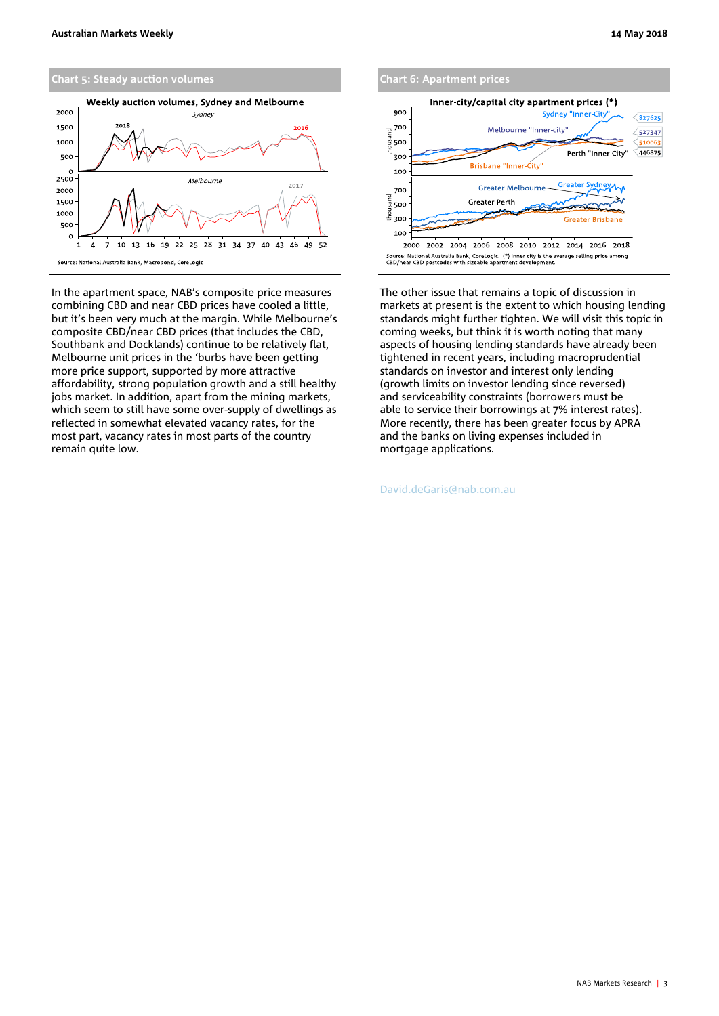

In the apartment space, NAB's composite price measures combining CBD and near CBD prices have cooled a little, but it's been very much at the margin. While Melbourne's composite CBD/near CBD prices (that includes the CBD, Southbank and Docklands) continue to be relatively flat, Melbourne unit prices in the 'burbs have been getting more price support, supported by more attractive affordability, strong population growth and a still healthy jobs market. In addition, apart from the mining markets, which seem to still have some over-supply of dwellings as reflected in somewhat elevated vacancy rates, for the most part, vacancy rates in most parts of the country remain quite low.



The other issue that remains a topic of discussion in markets at present is the extent to which housing lending standards might further tighten. We will visit this topic in coming weeks, but think it is worth noting that many aspects of housing lending standards have already been tightened in recent years, including macroprudential standards on investor and interest only lending (growth limits on investor lending since reversed) and serviceability constraints (borrowers must be able to service their borrowings at 7% interest rates). More recently, there has been greater focus by APRA and the banks on living expenses included in mortgage applications.

```
David.deGaris@nab.com.au
```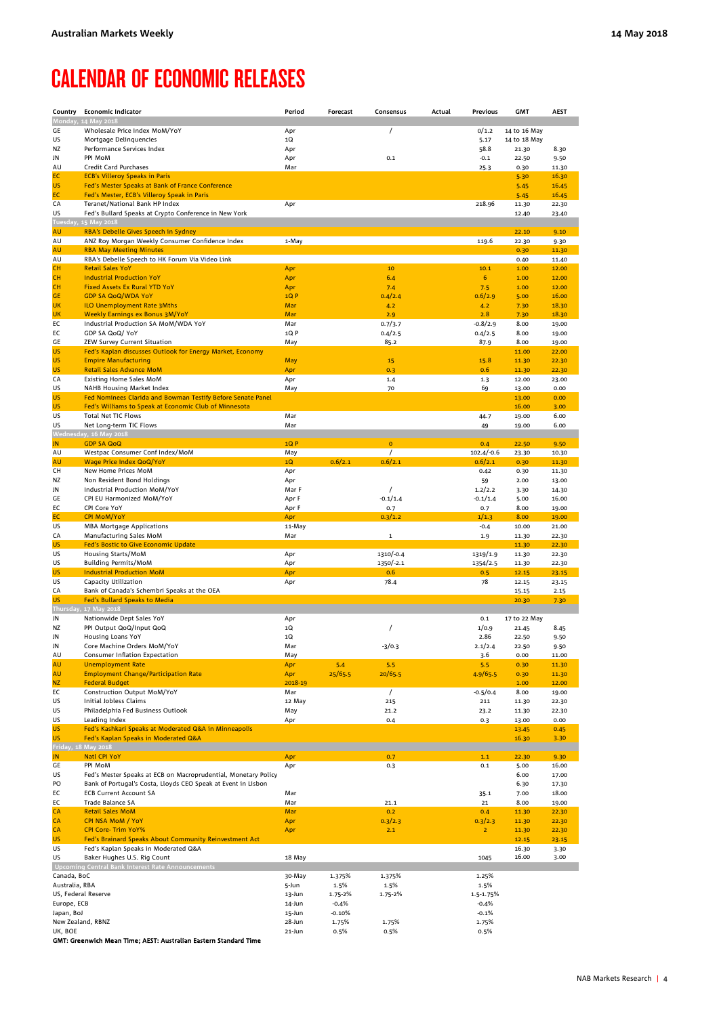## <span id="page-3-0"></span>CALENDAR OF ECONOMIC RELEASES

| Country                      | <b>Economic Indicator</b>                                                                       | Period         | Forecast | Consensus        | Actual | Previous                | <b>GMT</b>     | <b>AEST</b>    |
|------------------------------|-------------------------------------------------------------------------------------------------|----------------|----------|------------------|--------|-------------------------|----------------|----------------|
|                              | Monday, 14 May 2018                                                                             |                |          |                  |        |                         |                |                |
| GE                           | Wholesale Price Index MoM/YoY                                                                   | Apr            |          | $\prime$         |        | 0/1.2                   | 14 to 16 May   |                |
| US                           | Mortgage Delinquencies                                                                          | 1Q             |          |                  |        | 5.17                    | 14 to 18 May   |                |
| ΝZ                           | Performance Services Index                                                                      | Apr            |          |                  |        | 58.8                    | 21.30          | 8.30           |
| JN                           | PPI MoM                                                                                         | Apr            |          | 0.1              |        | $-0.1$                  | 22.50          | 9.50           |
| AU                           | Credit Card Purchases                                                                           | Mar            |          |                  |        | 25.3                    | 0.30           | 11.30          |
| EC                           | <b>ECB's Villeroy Speaks in Paris</b>                                                           |                |          |                  |        |                         | 5.30           | 16.30          |
| US<br>EC                     | Fed's Mester Speaks at Bank of France Conference<br>Fed's Mester, ECB's Villeroy Speak in Paris |                |          |                  |        |                         | 5.45           | 16.45          |
| CA                           | Teranet/National Bank HP Index                                                                  | Apr            |          |                  |        | 218.96                  | 5.45<br>11.30  | 16.45<br>22.30 |
| US                           | Fed's Bullard Speaks at Crypto Conference in New York                                           |                |          |                  |        |                         | 12.40          | 23.40          |
| Tuesday,                     | 15 May 2018                                                                                     |                |          |                  |        |                         |                |                |
| AU                           | RBA's Debelle Gives Speech in Sydney                                                            |                |          |                  |        |                         | 22.10          | 9.10           |
| AU                           | ANZ Roy Morgan Weekly Consumer Confidence Index                                                 | 1-May          |          |                  |        | 119.6                   | 22.30          | 9.30           |
| AU                           | <b>RBA May Meeting Minutes</b>                                                                  |                |          |                  |        |                         | 0.30           | 11.30          |
| AU                           | RBA's Debelle Speech to HK Forum Via Video Link                                                 |                |          |                  |        |                         | 0.40           | 11.40          |
| CН                           | <b>Retail Sales YoY</b>                                                                         | Apr            |          | 10               |        | 10.1                    | 1.00           | 12.00          |
| cн                           | <b>Industrial Production YoY</b>                                                                | Apr            |          | 6.4              |        | $6\phantom{1}6$         | 1.00           | 12.00          |
| cн                           | <b>Fixed Assets Ex Rural YTD YoY</b>                                                            | Apr            |          | 7.4              |        | 7.5                     | 1.00           | 12.00          |
| GE                           | <b>GDP SA QoQ/WDA YoY</b>                                                                       | 1QP            |          | 0.4/2.4          |        | 0.6/2.9                 | 5.00           | 16.00          |
| UK<br><b>UK</b>              | <b>ILO Unemployment Rate 3Mths</b>                                                              | Mar<br>Mar     |          | 4.2              |        | 4.2<br>2.8              | 7.30           | 18.30          |
| EС                           | <b>Weekly Earnings ex Bonus 3M/YoY</b><br>Industrial Production SA MoM/WDA YoY                  | Mar            |          | 2.9<br>0.7/3.7   |        | $-0.8/2.9$              | 7.30<br>8.00   | 18.30<br>19.00 |
| EС                           | GDP SA QoQ/ YoY                                                                                 | 1QP            |          | 0.4/2.5          |        | 0.4/2.5                 | 8.00           | 19.00          |
| GE                           | ZEW Survey Current Situation                                                                    | May            |          | 85.2             |        | 87.9                    | 8.00           | 19.00          |
| US                           | Fed's Kaplan discusses Outlook for Energy Market, Economy                                       |                |          |                  |        |                         | 11.00          | 22.00          |
| US                           | <b>Empire Manufacturing</b>                                                                     | May            |          | 15               |        | 15.8                    | 11.30          | 22.30          |
| US                           | <b>Retail Sales Advance MoM</b>                                                                 | Apr            |          | 0.3              |        | 0.6                     | 11.30          | 22.30          |
| CA                           | <b>Existing Home Sales MoM</b>                                                                  | Apr            |          | 1.4              |        | 1.3                     | 12.00          | 23.00          |
| US                           | <b>NAHB Housing Market Index</b>                                                                | May            |          | 70               |        | 69                      | 13.00          | 0.00           |
| US                           | Fed Nominees Clarida and Bowman Testify Before Senate Panel                                     |                |          |                  |        |                         | 13.00          | 0.00           |
| US                           | Fed's Williams to Speak at Economic Club of Minnesota                                           |                |          |                  |        |                         | 16.00          | 3.00           |
| US                           | <b>Total Net TIC Flows</b>                                                                      | Mar            |          |                  |        | 44.7                    | 19.00          | 6.00           |
| US                           | Net Long-term TIC Flows                                                                         | Mar            |          |                  |        | 49                      | 19.00          | 6.00           |
| JN                           | Wednesday, 16 May 2018<br><b>GDP SA QoQ</b>                                                     | 1QP            |          | $\mathbf{o}$     |        | 0.4                     |                | 9.50           |
| AU                           | Westpac Consumer Conf Index/MoM                                                                 | May            |          | $\prime$         |        | $102.4/-0.6$            | 22.50<br>23.30 | 10.30          |
| AU                           | <b>Wage Price Index QoQ/YoY</b>                                                                 | 1Q             | 0.6/2.1  | 0.6/2.1          |        | 0.6/2.1                 | 0.30           | 11.30          |
| CH                           | New Home Prices MoM                                                                             | Apr            |          |                  |        | 0.42                    | 0.30           | 11.30          |
| ΝZ                           | Non Resident Bond Holdings                                                                      | Apr            |          |                  |        | 59                      | 2.00           | 13.00          |
| JN                           | Industrial Production MoM/YoY                                                                   | Mar F          |          | $\prime$         |        | 1.2/2.2                 | 3.30           | 14.30          |
| GE                           | CPI EU Harmonized MoM/YoY                                                                       | Apr F          |          | $-0.1/1.4$       |        | $-0.1/1.4$              | 5.00           | 16.00          |
| EС                           | CPI Core YoY                                                                                    | Apr F          |          | 0.7              |        | 0.7                     | 8.00           | 19.00          |
| EC                           | <b>CPI MoM/YoY</b>                                                                              | Apr            |          | 0.3/1.2          |        | 1/1.3                   | 8.00           | 19.00          |
| US                           | <b>MBA Mortgage Applications</b>                                                                | 11-May         |          |                  |        | $-0.4$                  | 10.00          | 21.00          |
| CA                           | Manufacturing Sales MoM                                                                         | Mar            |          | $\mathbf 1$      |        | 1.9                     | 11.30          | 22.30          |
| US                           | Fed's Bostic to Give Economic Update                                                            |                |          |                  |        |                         | 11.30          | 22.30          |
| US                           | Housing Starts/MoM                                                                              | Apr            |          | 1310/-0.4        |        | 1319/1.9                | 11.30          | 22.30          |
| US<br>US                     | <b>Building Permits/MoM</b><br><b>Industrial Production MoM</b>                                 | Apr<br>Apr     |          | 1350/-2.1<br>0.6 |        | 1354/2.5<br>0.5         | 11.30<br>12.15 | 22.30<br>23.15 |
| US                           | Capacity Utilization                                                                            | Apr            |          | 78.4             |        | 78                      | 12.15          | 23.15          |
| CA                           | Bank of Canada's Schembri Speaks at the OEA                                                     |                |          |                  |        |                         | 15.15          | 2.15           |
| US                           | Fed's Bullard Speaks to Media                                                                   |                |          |                  |        |                         | 20.30          | 7.30           |
|                              | Thursday, 17 May 2018                                                                           |                |          |                  |        |                         |                |                |
| JN                           | Nationwide Dept Sales YoY                                                                       | Apr            |          |                  |        | 0.1                     | 17 to 22 May   |                |
| ΝZ                           | PPI Output QoQ/Input QoQ                                                                        | 1Q             |          |                  |        | 1/0.9                   | 21.45          | 8.45           |
| JN                           | Housing Loans YoY                                                                               | 1Q             |          |                  |        | 2.86                    | 22.50          | 9.50           |
| JN                           | Core Machine Orders MoM/YoY                                                                     | Mar            |          | $-3/0.3$         |        | 2.1/2.4                 | 22.50          | 9.50           |
| AU                           | Consumer Inflation Expectation                                                                  | May            |          |                  |        | 3.6                     | 0.00           | 11.00          |
| AU                           | <b>Unemployment Rate</b>                                                                        | Apr            | 5.4      | 5.5              |        | 5.5                     | 0.30           | 11.30          |
| AU                           | <b>Employment Change/Participation Rate</b>                                                     | Apr            | 25/65.5  | 20/65.5          |        | 4.9/65.5                | 0.30           | 11.30          |
| NZ<br>ЕC                     | <b>Federal Budget</b><br>Construction Output MoM/YoY                                            | 2018-19<br>Mar |          | $\prime$         |        | $-0.5/0.4$              | 1.00<br>8.00   | 12.00<br>19.00 |
| US                           | Initial Jobless Claims                                                                          | 12 May         |          | 215              |        | 211                     | 11.30          | 22.30          |
| US                           | Philadelphia Fed Business Outlook                                                               | May            |          | 21.2             |        | 23.2                    | 11.30          | 22.30          |
| US                           | Leading Index                                                                                   | Apr            |          | 0.4              |        | 0.3                     | 13.00          | 0.00           |
| US                           | Fed's Kashkari Speaks at Moderated Q&A in Minneapolis                                           |                |          |                  |        |                         | 13.45          | 0.45           |
| US                           | Fed's Kaplan Speaks in Moderated Q&A                                                            |                |          |                  |        |                         | 16.30          | 3.30           |
|                              | Friday, 18 May 2018                                                                             |                |          |                  |        |                         |                |                |
| JN                           | <b>Natl CPI YoY</b>                                                                             | Apr            |          | 0.7              |        | 1.1                     | 22.30          | 9.30           |
| GE                           | PPI MoM                                                                                         | Apr            |          | 0.3              |        | 0.1                     | 5.00           | 16.00          |
| US                           | Fed's Mester Speaks at ECB on Macroprudential, Monetary Policy                                  |                |          |                  |        |                         | 6.00           | 17.00          |
| PO                           | Bank of Portugal's Costa, Lloyds CEO Speak at Event in Lisbon                                   |                |          |                  |        |                         | 6.30           | 17.30          |
| EС                           | <b>ECB Current Account SA</b><br>Trade Balance SA                                               | Mar            |          |                  |        | 35.1                    | 7.00           | 18.00          |
| EС<br>CA                     | <b>Retail Sales MoM</b>                                                                         | Mar<br>Mar     |          | 21.1<br>0.2      |        | 21<br>0.4               | 8.00<br>11.30  | 19.00<br>22.30 |
| СA                           | <b>CPI NSA MoM / YoY</b>                                                                        | Apr            |          | 0.3/2.3          |        | 0.3/2.3                 | 11.30          | 22.30          |
| СA                           | <b>CPI Core- Trim YoY%</b>                                                                      | Apr            |          | 2.1              |        | $\overline{\mathbf{2}}$ | 11.30          | 22.30          |
| US                           | Fed's Brainard Speaks About Community Reinvestment Act                                          |                |          |                  |        |                         | 12.15          | 23.15          |
| US                           | Fed's Kaplan Speaks in Moderated Q&A                                                            |                |          |                  |        |                         | 16.30          | 3.30           |
| US                           | Baker Hughes U.S. Rig Count                                                                     | 18 May         |          |                  |        | 1045                    | 16.00          | 3.00           |
|                              | Upcoming Central Bank Interest Rate Announcements                                               |                |          |                  |        |                         |                |                |
| Canada, BoC                  |                                                                                                 | 30-May         | 1.375%   | 1.375%           |        | 1.25%                   |                |                |
| Australia, RBA               |                                                                                                 | 5-Jun          | 1.5%     | 1.5%             |        | 1.5%                    |                |                |
| US, Federal Reserve          |                                                                                                 | 13-Jun         | 1.75-2%  | 1.75-2%          |        | 1.5-1.75%               |                |                |
| Europe, ECB                  |                                                                                                 | 14-Jun         | $-0.4%$  |                  |        | $-0.4%$                 |                |                |
| Japan, BoJ                   |                                                                                                 | 15-Jun         | $-0.10%$ |                  |        | $-0.1%$                 |                |                |
| New Zealand, RBNZ<br>UK, BOE |                                                                                                 | 28-Jun         | 1.75%    | 1.75%            |        | 1.75%                   |                |                |
|                              |                                                                                                 | 21-Jun         | 0.5%     | 0.5%             |        | 0.5%                    |                |                |

GMT: Greenwich Mean Time; AEST: Australian Eastern Standard Time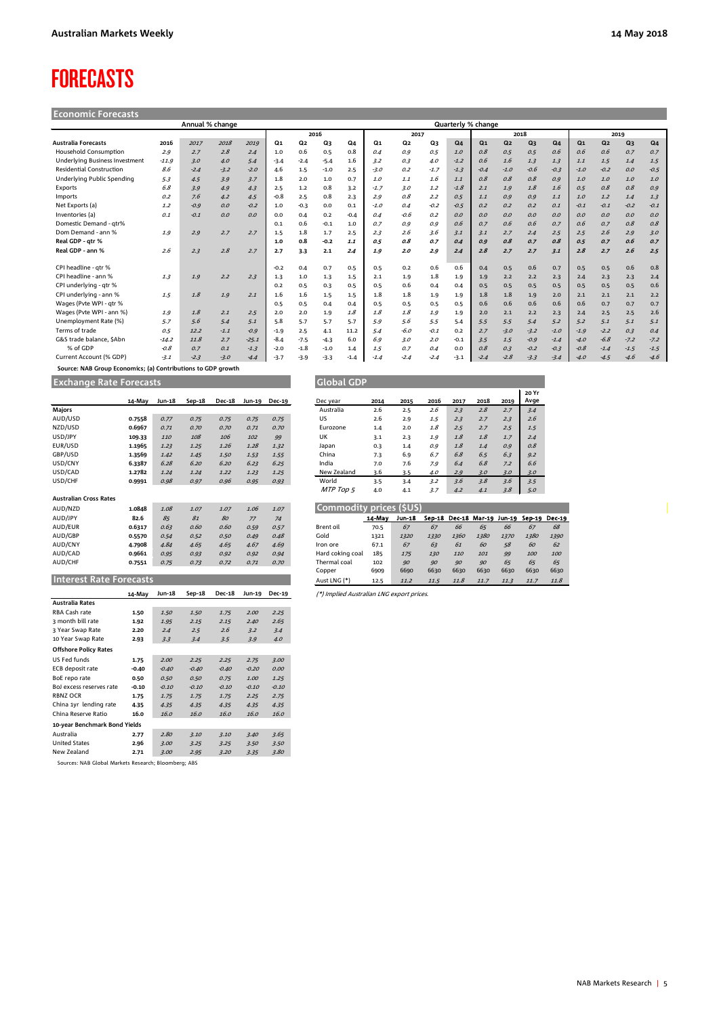# <span id="page-4-0"></span>FORECASTS

**Economic Forecasts**

|                                       |         | Annual % change |        |         |        |                |        |        |        |        |            | Quarterly % change |                |                |        |                |                |                |        |        |
|---------------------------------------|---------|-----------------|--------|---------|--------|----------------|--------|--------|--------|--------|------------|--------------------|----------------|----------------|--------|----------------|----------------|----------------|--------|--------|
|                                       |         |                 | 2016   |         | 2017   |                |        | 2018   |        |        |            | 2019               |                |                |        |                |                |                |        |        |
| <b>Australia Forecasts</b>            | 2016    | 2017            | 2018   | 2019    | Q1     | Q <sub>2</sub> | Q3     | $Q_4$  | Q1     | Q2     | Q3         | Q <sub>4</sub>     | Q <sub>1</sub> | Q <sub>2</sub> | Q3     | Q <sub>4</sub> | Q <sub>1</sub> | Q <sub>2</sub> | Q3     | Q4     |
| Household Consumption                 | 2.9     | 2.7             | 2.8    | 2.4     | 1.0    | 0.6            | 0.5    | 0.8    | 0.4    | 0.9    | 0.5        | 1.0                | 0.8            | 0.5            | 0.5    | 0.6            | 0.6            | 0.6            | 0.7    | 0.7    |
| <b>Underlying Business Investment</b> | $-11.9$ | 3.0             | 4.0    | 5.4     | $-3.4$ | $-2.4$         | $-5.4$ | 1.6    | 3.2    | 0.3    | 4.0        | $-1.2$             | 0.6            | 1.6            | 1.3    | 1.3            | 1.1            | 1.5            | 1.4    | 1.5    |
| <b>Residential Construction</b>       | 8.6     | $-2.4$          | $-3.2$ | $-2.0$  | 4.6    | 1.5            | $-1.0$ | 2.5    | $-3.0$ | 0.2    | $-1.7$     | $-1.3$             | $-0.4$         | $-1.0$         | $-0.6$ | $-0.3$         | $-1.0$         | $-0.2$         | O.O    | $-0.5$ |
| Underlying Public Spending            | 5.3     | 4.5             | 3.9    | 3.7     | 1.8    | 2.0            | 1.0    | 0.7    | 1.0    | 1.1    | 1.6        | 1.1                | 0.8            | 0.8            | 0.8    | 0.9            | 1.0            | 1.0            | 1.0    | 1.0    |
| Exports                               | 6.8     | 3.9             | 4.9    | 4.3     | 2.5    | 1.2            | 0.8    | 3.2    | $-1.7$ | 3.0    | 1.2        | $-1.8$             | 2.1            | 1.9            | 1.8    | 1.6            | 0.5            | 0.8            | 0.8    | 0.9    |
| Imports                               | 0.2     | 7.6             | 4.2    | 4.5     | $-0.8$ | 2.5            | 0.8    | 2.3    | 2.9    | 0.8    | 2.2        | 0.5                | 1.1            | 0.9            | 0.9    | 1.1            | 1.0            | 1.2            | 1.4    | 1.3    |
| Net Exports (a)                       | 1.2     | $-0.9$          | O.O    | $-0.2$  | 1.0    | $-0.3$         | 0.0    | 0.1    | $-1.0$ | 0.4    | $-0.2$     | $-0.5$             | 0.2            | 0.2            | 0.2    | 0.1            | $-0.1$         | $-0.1$         | $-0.2$ | $-0.1$ |
| Inventories (a)                       | 0.1     | $-0.1$          | 0.0    | 0.0     | 0.0    | 0.4            | 0.2    | $-0.4$ | 0.4    | $-0.6$ | 0.2        | O.0                | O.O            | O.O            | 0.0    | O.O            | O.O            | O.O            | O.O    | 0.0    |
| Domestic Demand - atr%                |         |                 |        |         | 0.1    | 0.6            | $-0.1$ | 1.0    | 0.7    | 0.9    | 0.9        | 0.6                | 0.7            | 0.6            | 0.6    | 0.7            | 0.6            | 0.7            | 0.8    | 0.8    |
| Dom Demand - ann %                    | 1.9     | 2.9             | 2.7    | 2.7     | 1.5    | 1.8            | 1.7    | 2.5    | 2.3    | 2.6    | 3.6        | 3.1                | 3.1            | 2.7            | 2.4    | 2.5            | 2.5            | 2.6            | 2.9    | 3.0    |
| Real GDP - qtr %                      |         |                 |        |         | 1.0    | 0.8            | $-0.2$ | 1.1    | 0.5    | 0.8    | 0.7        | 0.4                | 0.9            | 0.8            | 0.7    | 0.8            | 0.5            | 0.7            | 0.6    | 0.7    |
| Real GDP - ann %                      | 2.6     | 2.3             | 2.8    | 2.7     | 2.7    | 3.3            | 2.1    | 2.4    | 1.9    | 2.0    | 2.9        | 2.4                | 2.8            | 2.7            | 2.7    | 3.1            | 2.8            | 2.7            | 2.6    | 2.5    |
| CPI headline - atr %                  |         |                 |        |         | $-0.2$ | 0.4            | 0.7    | 0.5    | 0.5    | 0.2    | 0.6        | 0.6                | 0.4            | 0.5            | 0.6    | 0.7            | 0.5            | 0.5            | 0.6    | 0.8    |
| CPI headline - ann %                  | 1.3     | 1.9             | 2.2    | 2.3     | 1.3    | 1.0            | 1.3    | 1.5    | 2.1    | 1.9    | 1.8        | 1.9                | 1.9            | 2.2            | 2.2    | 2.3            | 2.4            | 2.3            | 2.3    | 2.4    |
| CPI underlying - qtr %                |         |                 |        |         | 0.2    | 0.5            | 0.3    | 0.5    | 0.5    | 0.6    | 0.4        | 0.4                | 0.5            | 0.5            | 0.5    | 0.5            | 0.5            | 0.5            | 0.5    | 0.6    |
| CPI underlying - ann %                | 1.5     | 1.8             | 1.9    | 2.1     | 1.6    | 1.6            | 1.5    | 1.5    | 1.8    | 1.8    | 1.9        | 1.9                | 1.8            | 1.8            | 1.9    | 2.0            | 2.1            | 2.1            | 2.1    | 2.2    |
| Wages (Pvte WPI - gtr %               |         |                 |        |         | 0.5    | 0.5            | 0.4    | 0.4    | 0.5    | 0.5    | 0.5        | 0.5                | 0.6            | 0.6            | 0.6    | 0.6            | 0.6            | 0.7            | 0.7    | 0.7    |
| Wages (Pvte WPI - ann %)              | 1.9     | 1.8             | 2.1    | 2.5     | 2.0    | 2.0            | 1.9    | 1.8    | 1.8    | 1.8    |            | 1.9                | 2.0            | 2.1            | 2.2    | 2.3            | 2.4            | 2.5            | 2.5    | 2.6    |
| Unemployment Rate (%)                 | 5.7     | 5.6             | 5.4    | 5.1     | 5.8    | 5.7            | 5.7    | 5.7    | 5.9    | 5.6    | 1.9<br>5.5 | 5.4                | 5.5            | 5.5            | 5.4    | 5.2            | 5.2            | 5.1            | 5.1    | 5.1    |
| Terms of trade                        | 0.5     | 12.2            | $-1.1$ | $-0.9$  | $-1.9$ | 2.5            | 4.1    | 11.2   | 5.4    | $-6.0$ | $-0.1$     | 0.2                | 2.7            | $-3.0$         | $-3.2$ | $-1.0$         | $-1.9$         | $-2.2$         | 0.3    | 0.4    |
| G&S trade balance, \$Abn              |         | 11.8            |        |         |        |                |        | 6.0    |        |        |            |                    |                |                |        |                |                | $-6.8$         |        |        |
| % of GDP                              | $-14.2$ |                 | 2.7    | $-25.1$ | $-8.4$ | $-7.5$         | $-4.3$ |        | 6.9    | 3.0    | 2.0        | $-0.1$             | 3.5            | 1.5            | $-0.9$ | $-1.4$         | $-4.0$         |                | $-7.2$ | $-7.2$ |
|                                       | $-0.8$  | 0.7             | 0.1    | $-1.3$  | $-2.0$ | $-1.8$         | $-1.0$ | 1.4    | 1.5    | 0.7    | 0.4        | 0.0                | 0.8            | 0.3            | $-0.2$ | $-0.3$         | $-0.8$         | $-1.4$         | $-1.5$ | $-1.5$ |
| Current Account (% GDP)               | $-3.1$  | $-2.3$          | $-3.0$ | $-4.4$  | $-3.7$ | $-3.9$         | $-3.3$ | $-1.4$ | $-1.4$ | $-2.4$ | $-2.4$     | $-3.1$             | $-2.4$         | $-2.8$         | $-3.3$ | $-3.4$         | $-4.0$         | $-4.5$         | $-4.6$ | $-4.6$ |

 **Source: NAB Group Economics; (a) Contributions to GDP growth**

**Exchange Rate Forecasts Global GDP** 

|                               | 14-May | Jun-18 | Sep-18 | Dec-18 | Jun-19 | <b>Dec-19</b> | Dec year                | 2014   | 2015     | 2016     | 2017           | 2018           | 2019   | Avg  |
|-------------------------------|--------|--------|--------|--------|--------|---------------|-------------------------|--------|----------|----------|----------------|----------------|--------|------|
| <b>Majors</b>                 |        |        |        |        |        |               | Australia               | 2.6    | 2.5      | 2.6      | 2.3            | 2.8            | 2.7    | 3.4  |
| AUD/USD                       | 0.7558 | 0.77   | 0.75   | 0.75   | 0.75   | 0.75          | US                      | 2.6    | 2.9      | 1.5      | 2.3            | 2.7            | 2.3    | 2.6  |
| NZD/USD                       | 0.6967 | 0.71   | 0.70   | 0.70   | 0.71   | 0.70          | Eurozone                | 1.4    | 2.0      | 1.8      | 2.5            | 2.7            | 2.5    | 1.5  |
| USD/JPY                       | 109.33 | 110    | 108    | 106    | 102    | 99            | UK                      | 3.1    | 2.3      | 1.9      | 1.8            | 1.8            | 1.7    | 2.4  |
| EUR/USD                       | 1.1965 | 1.23   | 1.25   | 1.26   | 1.28   | 1.32          | Japan                   | 0.3    | 1.4      | 0.9      | 1.8            | 1.4            | 0.9    | 0.8  |
| GBP/USD                       | 1.3569 | 1.42   | 1.45   | 1.50   | 1.53   | 1.55          | China                   | 7.3    | 6.9      | 6.7      | 6.8            | 6.5            | 6.3    | 9.2  |
| USD/CNY                       | 6.3387 | 6.28   | 6.20   | 6,20   | 6.23   | 6.25          | India                   | 7.0    | 7.6      | 7.9      | 6.4            | 6.8            | 7.2    | 6.6  |
| USD/CAD                       | 1.2782 | 1.24   | 1.24   | 1.22   | 1.23   | 1.25          | New Zealand             | 3.6    | 3.5      | 4.0      | 2.9            | 3.0            | 3.0    | 3.0  |
| USD/CHF                       | 0.9991 | 0.98   | 0.97   | 0.96   | 0.95   | 0.93          | World                   | 3.5    | 3.4      | 3.2      | 3.6            | 3.8            | 3.6    | 3.5  |
|                               |        |        |        |        |        |               | MTP Top 5               | 4.0    | 4.1      | 3.7      | 4.2            | 4.1            | 3.8    | 5.0  |
| <b>Australian Cross Rates</b> |        |        |        |        |        |               |                         |        |          |          |                |                |        |      |
| AUD/NZD                       | 1.0848 | 1.08   | 1.07   | 1.07   | 1.06   | 1.07          | Commodity prices (\$US) |        |          |          |                |                |        |      |
| AUD/JPY                       | 82.6   | 85     | 81     | 80     | 77     | 74            |                         | 14-May | Jun-18   | Sep-18   |                | Dec-18 Mar-19  | Jun-19 | Sep- |
| AUD/EUR                       | 0.6317 | 0.63   | 0.60   | 0.60   | 0.59   | 0.57          | Brent oil               | 70.5   | 67       | 67       | 66             | 65             | 66     | 67   |
| AUD/GBP                       | 0.5570 | 0.54   | 0.52   | 0.50   | 0.49   | 0.48          | Gold                    | 1321   | 1320     | 1330     | 1360           | 1380           | 1370   | 138  |
| AUD/CNY                       | 4.7908 | 4.84   | 4.65   | 4.65   | 4.67   | 4.69          | Iron ore                | 67.1   | 67       | 63       | 61             | 60             | 58     |      |
| AUD/CAD                       | 0.9661 | 0.95   | 0.93   | 0.92   | 0.92   | 0.94          | Hard coking coal        | 185    | 175      | 130      | 110            | 101            | 99     | 100  |
| AUD/CHE                       | 0.7551 | 0.75   | 0.73   | 0.72   | 0.71   | 0,70          | Thermal coal            | 102    | $\alpha$ | $\alpha$ | $\overline{a}$ | $\overline{a}$ | 65     | 65   |

| <b>Interest Rate Forecasts</b> |         |         |          |               |         |               |
|--------------------------------|---------|---------|----------|---------------|---------|---------------|
|                                | 14-May  | Jun-18  | $Sep-18$ | <b>Dec-18</b> | Jun-19  | <b>Dec-19</b> |
| <b>Australia Rates</b>         |         |         |          |               |         |               |
| RBA Cash rate                  | 1.50    | 1.50    | 1.50     | 1.75          | 2.00    | 2.25          |
| 3 month bill rate              | 1.92    | 1.95    | 2.15     | 2.15          | 2.40    | 2.65          |
| 3 Year Swap Rate               | 2.20    | 2.4     | 2.5      | 2.6           | 3.2     | 3.4           |
| 10 Year Swap Rate              | 2.93    | 3.3     | 3.4      | 3.5           | 3.9     | 4.0           |
| <b>Offshore Policy Rates</b>   |         |         |          |               |         |               |
| US Fed funds                   | 1.75    | 2.00    | 2.25     | 2.25          | 2.75    | 3.00          |
| ECB deposit rate               | $-0.40$ | $-0.40$ | $-0.40$  | $-0.40$       | $-0.20$ | 0.00          |
| BoE repo rate                  | 0.50    | 0.50    | 0.50     | 0.75          | 1.00    | 1.25          |
| BoJ excess reserves rate       | $-0.10$ | $-0.10$ | $-0.10$  | $-0.10$       | $-0.10$ | $-0.10$       |
| <b>RBNZ OCR</b>                | 1.75    | 1.75    | 1.75     | 1.75          | 2.25    | 2.75          |
| China 1yr lending rate         | 4.35    | 4.35    | 4.35     | 4.35          | 4.35    | 4.35          |
| China Reserve Ratio            | 16.0    | 16.0    | 16.0     | 16.0          | 16.0    | 16.0          |
| 10-year Benchmark Bond Yields  |         |         |          |               |         |               |
| Australia                      | 2.77    | 2.80    | 3.10     | 3.10          | 3.40    | 3.65          |
| <b>United States</b>           | 2.96    | 3.00    | 3.25     | 3.25          | 3.50    | 3.50          |
| New Zealand                    | 2.71    | 3.00    | 2.95     | 3.20          | 3.35    | 3.80          |

Sources: NAB Global Markets Research; Bloomberg; ABS

| 14-May | Jun-18 | $Sep-18$ | <b>Dec-18</b> | Jun-19 | <b>Dec-19</b> | Dec year    | 2014 | 2015 | 2016 | 2017 | 2018 | 2019 | 20 Yr<br>Avge |
|--------|--------|----------|---------------|--------|---------------|-------------|------|------|------|------|------|------|---------------|
|        |        |          |               |        |               | Australia   | 2.6  | 2.5  | 2.6  | 2.3  | 2.8  | 2.7  | 3.4           |
| 0.7558 | 0.77   | 0.75     | 0.75          | 0.75   | 0.75          | US          | 2.6  | 2.9  | 1.5  | 2.3  | 2.7  | 2.3  | 2.6           |
| 0.6967 | 0.71   | 0.70     | 0.70          | 0.71   | 0.70          | Eurozone    | 1.4  | 2.0  | 1.8  | 2.5  | 2.7  | 2.5  | 1.5           |
| 109.33 | 110    | 108      | 106           | 102    | 99            | UK          | 3.1  | 2.3  | 1.9  | 1.8  | 1.8  | 1.7  | 2.4           |
| 1.1965 | 1.23   | 1.25     | 1.26          | 1.28   | 1.32          | Japan       | 0.3  | 1.4  | 0.9  | 1.8  | 1.4  | 0.9  | 0.8           |
| 1.3569 | 1.42   | 1.45     | 1.50          | 1.53   | 1.55          | China       | 7.3  | 6.9  | 6.7  | 6.8  | 6.5  | 6.3  | 9.2           |
| 6.3387 | 6.28   | 6.20     | 6,20          | 6.23   | 6.25          | India       | 7.0  | 7.6  | 7.9  | 6.4  | 6.8  | 7.2  | 6.6           |
| 1.2782 | 1.24   | 1.24     | 1.22          | 1.23   | 1.25          | New Zealand | 3.6  | 3.5  | 4.0  | 2.9  | 3.0  | 3.0  | 3.0           |
| 0.9991 | 0.98   | 0.97     | 0.96          | 0.95   | 0.93          | World       | 3.5  | 3.4  | 3.2  | 3.6  | 3.8  | 3.6  | 3.5           |
|        |        |          |               |        |               | MTP Top 5   | 4.0  | 4.1  | 3.7  | 4.2  | 4.1  | 3.8  | 5.0           |
|        |        |          |               |        |               |             |      |      |      |      |      |      |               |

| AUD/NZD                 | 1.0848 | 1.08 | 1.07 | 1.07 | 1.06 | 1.07 | Commodity prices (\$US) |        |        |      |      |      |      |                                           |      |
|-------------------------|--------|------|------|------|------|------|-------------------------|--------|--------|------|------|------|------|-------------------------------------------|------|
| AUD/JPY                 | 82.6   | 85   | 81   | 80   | 77   | 74   |                         | 14-May | Jun-18 |      |      |      |      | Sep-18 Dec-18 Mar-19 Jun-19 Sep-19 Dec-19 |      |
| AUD/EUR                 | 0.6317 | 0.63 | 0.60 | 0.60 | 0.59 | 0.57 | Brent oil               | 70.5   | 67     | 67   | 66   | 65   | 66   | 67                                        | 68   |
| AUD/GBP                 | 0.5570 | 0.54 | 0.52 | 0.50 | 0.49 | 0.48 | Gold                    | 1321   | 1320   | 1330 | 1360 | 1380 | 1370 | 1380                                      | 1390 |
| AUD/CNY                 | 4.7908 | 4.84 | 4.65 | 4.65 | 4.67 | 4.69 | Iron ore                | 67.1   | 67     | 63   | 61   | 60   | 58   | 60                                        | 62   |
| AUD/CAD                 | 0.9661 | 0.95 | 0.93 | 0.92 | 0.92 | 0.94 | Hard coking coal        | 185    | 175    | 130  | 110  | 101  | 99   | 100                                       | 100  |
| AUD/CHF                 | 0.7551 | 0.75 | 0.73 | 0.72 | 0.71 | 0.70 | Thermal coal            | 102    | 90     | 90   | 90   | 90   | 65   | 65                                        | 65   |
|                         |        |      |      |      |      |      | Copper                  | 6909   | 6690   | 6630 | 6630 | 6630 | 6630 | 6630                                      | 6630 |
| Interest Rate Forecasts |        |      |      |      |      |      | Aust LNG (*)            | 12.5   | 11.2   | 11.5 | 11.8 | 11.7 | 11.3 | 11.7                                      | 11.8 |